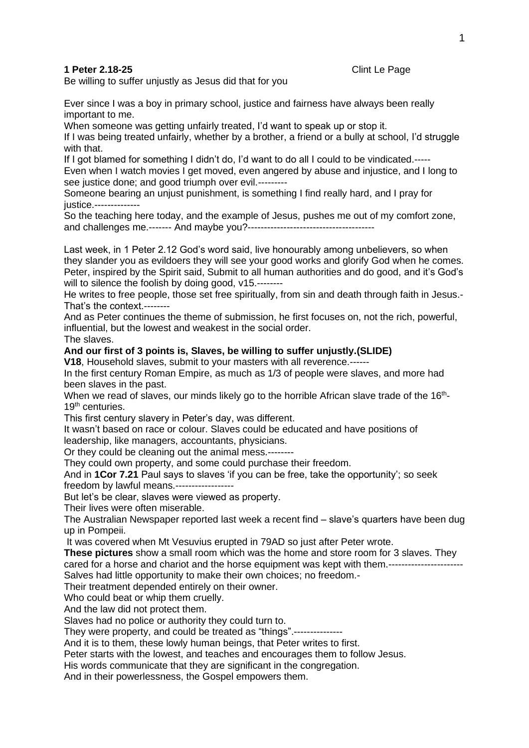**1 Peter 2.18-25** Clint Le Page

Be willing to suffer unjustly as Jesus did that for you

Ever since I was a boy in primary school, justice and fairness have always been really important to me.

When someone was getting unfairly treated, I'd want to speak up or stop it.

If I was being treated unfairly, whether by a brother, a friend or a bully at school, I'd struggle with that.

If I got blamed for something I didn't do, I'd want to do all I could to be vindicated.----- Even when I watch movies I get moved, even angered by abuse and injustice, and I long to see justice done; and good triumph over evil.---------

Someone bearing an unjust punishment, is something I find really hard, and I pray for justice.--------------

So the teaching here today, and the example of Jesus, pushes me out of my comfort zone, and challenges me.------- And maybe you?---------------------------------------

Last week, in 1 Peter 2.12 God's word said, live honourably among unbelievers, so when they slander you as evildoers they will see your good works and glorify God when he comes. Peter, inspired by the Spirit said, Submit to all human authorities and do good, and it's God's will to silence the foolish by doing good,  $v15$ .--------

He writes to free people, those set free spiritually, from sin and death through faith in Jesus.- That's the context.--------

And as Peter continues the theme of submission, he first focuses on, not the rich, powerful, influential, but the lowest and weakest in the social order.

The slaves.

## **And our first of 3 points is, Slaves, be willing to suffer unjustly.(SLIDE)**

**V18**, Household slaves, submit to your masters with all reverence.------

In the first century Roman Empire, as much as 1/3 of people were slaves, and more had been slaves in the past.

When we read of slaves, our minds likely go to the horrible African slave trade of the 16<sup>th</sup>-19th centuries.

This first century slavery in Peter's day, was different.

It wasn't based on race or colour. Slaves could be educated and have positions of leadership, like managers, accountants, physicians.

Or they could be cleaning out the animal mess.--------

They could own property, and some could purchase their freedom.

And in **1Cor 7.21** Paul says to slaves 'if you can be free, take the opportunity'; so seek freedom by lawful means.------------------

But let's be clear, slaves were viewed as property.

Their lives were often miserable.

The Australian Newspaper reported last week a recent find – slave's quarters have been dug up in Pompeii.

It was covered when Mt Vesuvius erupted in 79AD so just after Peter wrote.

**These pictures** show a small room which was the home and store room for 3 slaves. They cared for a horse and chariot and the horse equipment was kept with them.--------------Salves had little opportunity to make their own choices; no freedom.-

Their treatment depended entirely on their owner.

Who could beat or whip them cruelly.

And the law did not protect them.

Slaves had no police or authority they could turn to.

They were property, and could be treated as "things".--------

And it is to them, these lowly human beings, that Peter writes to first.

Peter starts with the lowest, and teaches and encourages them to follow Jesus.

His words communicate that they are significant in the congregation.

And in their powerlessness, the Gospel empowers them.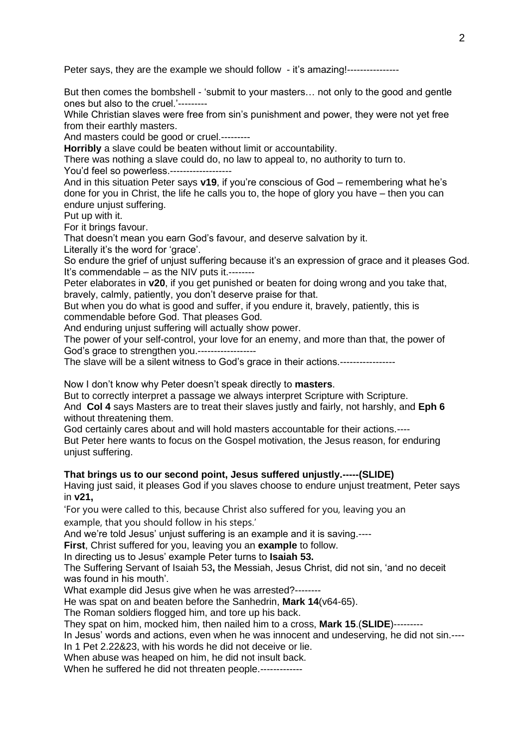Peter says, they are the example we should follow - it's amazing!----------------

But then comes the bombshell - 'submit to your masters… not only to the good and gentle ones but also to the cruel.'---------

While Christian slaves were free from sin's punishment and power, they were not yet free from their earthly masters.

And masters could be good or cruel.---------

**Horribly** a slave could be beaten without limit or accountability.

There was nothing a slave could do, no law to appeal to, no authority to turn to.

You'd feel so powerless.-------------------

And in this situation Peter says **v19**, if you're conscious of God – remembering what he's done for you in Christ, the life he calls you to, the hope of glory you have – then you can endure unjust suffering.

Put up with it.

For it brings favour.

That doesn't mean you earn God's favour, and deserve salvation by it.

Literally it's the word for 'grace'.

So endure the grief of unjust suffering because it's an expression of grace and it pleases God. It's commendable – as the NIV puts it.--------

Peter elaborates in **v20**, if you get punished or beaten for doing wrong and you take that, bravely, calmly, patiently, you don't deserve praise for that.

But when you do what is good and suffer, if you endure it, bravely, patiently, this is commendable before God. That pleases God.

And enduring unjust suffering will actually show power.

The power of your self-control, your love for an enemy, and more than that, the power of God's grace to strengthen you.------------------

The slave will be a silent witness to God's grace in their actions.----------------

Now I don't know why Peter doesn't speak directly to **masters**.

But to correctly interpret a passage we always interpret Scripture with Scripture. And **Col 4** says Masters are to treat their slaves justly and fairly, not harshly, and **Eph 6** without threatening them.

God certainly cares about and will hold masters accountable for their actions.----

But Peter here wants to focus on the Gospel motivation, the Jesus reason, for enduring unjust suffering.

## **That brings us to our second point, Jesus suffered unjustly.-----(SLIDE)**

Having just said, it pleases God if you slaves choose to endure unjust treatment, Peter says in **v21,**

'For you were called to this, because Christ also suffered for you, leaving you an example, that you should follow in his steps.'

And we're told Jesus' unjust suffering is an example and it is saving.----

**First**, Christ suffered for you, leaving you an **example** to follow.

In directing us to Jesus' example Peter turns to **Isaiah 53.**

The Suffering Servant of Isaiah 53**,** the Messiah, Jesus Christ, did not sin, 'and no deceit was found in his mouth'.

What example did Jesus give when he was arrested?--------

He was spat on and beaten before the Sanhedrin, **Mark 14**(v64-65).

The Roman soldiers flogged him, and tore up his back.

They spat on him, mocked him, then nailed him to a cross, **Mark 15**.(**SLIDE**)---------

In Jesus' words and actions, even when he was innocent and undeserving, he did not sin.----

In 1 Pet 2.22&23, with his words he did not deceive or lie. When abuse was heaped on him, he did not insult back.

When he suffered he did not threaten people.-------------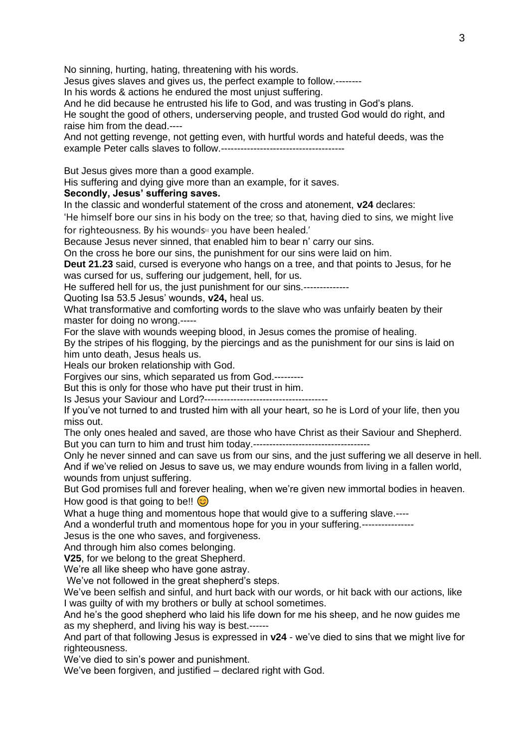No sinning, hurting, hating, threatening with his words.

Jesus gives slaves and gives us, the perfect example to follow.--------

In his words & actions he endured the most unjust suffering.

And he did because he entrusted his life to God, and was trusting in God's plans.

He sought the good of others, underserving people, and trusted God would do right, and raise him from the dead.----

And not getting revenge, not getting even, with hurtful words and hateful deeds, was the example Peter calls slaves to follow.--------------------------------------

But Jesus gives more than a good example.

His suffering and dying give more than an example, for it saves.

## **Secondly, Jesus' suffering saves.**

In the classic and wonderful statement of the cross and atonement, **v24** declares:

'He himself bore our sins in his body on the tree; so that, having died to sins, we might live

for righteousness. By his wounds<sup>[6]</sup> you have been healed.' Because Jesus never sinned, that enabled him to bear n' carry our sins.

On the cross he bore our sins, the punishment for our sins were laid on him.

**Deut 21.23** said, cursed is everyone who hangs on a tree, and that points to Jesus, for he was cursed for us, suffering our judgement, hell, for us.

He suffered hell for us, the just punishment for our sins.---------------

Quoting Isa 53.5 Jesus' wounds, **v24,** heal us.

What transformative and comforting words to the slave who was unfairly beaten by their master for doing no wrong.-----

For the slave with wounds weeping blood, in Jesus comes the promise of healing.

By the stripes of his flogging, by the piercings and as the punishment for our sins is laid on him unto death, Jesus heals us.

Heals our broken relationship with God.

Forgives our sins, which separated us from God.---------

But this is only for those who have put their trust in him.

Is Jesus your Saviour and Lord?--------------------------------------

If you've not turned to and trusted him with all your heart, so he is Lord of your life, then you miss out.

The only ones healed and saved, are those who have Christ as their Saviour and Shepherd. But you can turn to him and trust him today.------------------------------------

Only he never sinned and can save us from our sins, and the just suffering we all deserve in hell. And if we've relied on Jesus to save us, we may endure wounds from living in a fallen world, wounds from unjust suffering.

But God promises full and forever healing, when we're given new immortal bodies in heaven. How good is that going to be!!

What a huge thing and momentous hope that would give to a suffering slave.----

And a wonderful truth and momentous hope for you in your suffering.----------------

Jesus is the one who saves, and forgiveness.

And through him also comes belonging.

**V25**, for we belong to the great Shepherd.

We're all like sheep who have gone astray.

We've not followed in the great shepherd's steps.

We've been selfish and sinful, and hurt back with our words, or hit back with our actions, like I was guilty of with my brothers or bully at school sometimes.

And he's the good shepherd who laid his life down for me his sheep, and he now guides me as my shepherd, and living his way is best.------

And part of that following Jesus is expressed in **v24** - we've died to sins that we might live for righteousness.

We've died to sin's power and punishment.

We've been forgiven, and justified – declared right with God.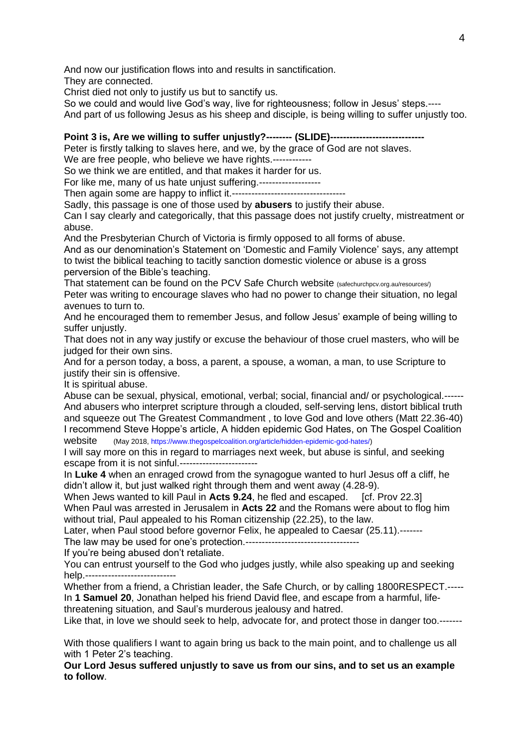And now our justification flows into and results in sanctification.

They are connected.

Christ died not only to justify us but to sanctify us.

So we could and would live God's way, live for righteousness; follow in Jesus' steps.----

And part of us following Jesus as his sheep and disciple, is being willing to suffer unjustly too.

## **Point 3 is, Are we willing to suffer unjustly?--------- (SLIDE)----**

Peter is firstly talking to slaves here, and we, by the grace of God are not slaves.

We are free people, who believe we have rights.------------

So we think we are entitled, and that makes it harder for us.

For like me, many of us hate unjust suffering.-------------------

Then again some are happy to inflict it.-----------------------------------

Sadly, this passage is one of those used by **abusers** to justify their abuse.

Can I say clearly and categorically, that this passage does not justify cruelty, mistreatment or abuse.

And the Presbyterian Church of Victoria is firmly opposed to all forms of abuse.

And as our denomination's Statement on 'Domestic and Family Violence' says, any attempt to twist the biblical teaching to tacitly sanction domestic violence or abuse is a gross perversion of the Bible's teaching.

That statement can be found on the PCV Safe Church website (safechurchpcv.org.au/resources/) Peter was writing to encourage slaves who had no power to change their situation, no legal avenues to turn to.

And he encouraged them to remember Jesus, and follow Jesus' example of being willing to suffer uniustly.

That does not in any way justify or excuse the behaviour of those cruel masters, who will be judged for their own sins.

And for a person today, a boss, a parent, a spouse, a woman, a man, to use Scripture to justify their sin is offensive.

It is spiritual abuse.

Abuse can be sexual, physical, emotional, verbal; social, financial and/ or psychological.------ And abusers who interpret scripture through a clouded, self-serving lens, distort biblical truth and squeeze out The Greatest Commandment , to love God and love others (Matt 22.36-40) I recommend Steve Hoppe's article, A hidden epidemic God Hates, on The Gospel Coalition website (May 2018, [https://www.thegospelcoalition.org/article/hidden-epidemic-god-hates/\)](https://www.thegospelcoalition.org/article/hidden-epidemic-god-hates/)

I will say more on this in regard to marriages next week, but abuse is sinful, and seeking escape from it is not sinful.------------------------

In **Luke 4** when an enraged crowd from the synagogue wanted to hurl Jesus off a cliff, he didn't allow it, but just walked right through them and went away (4.28-9).

When Jews wanted to kill Paul in Acts 9.24, he fled and escaped. [cf. Prov 22.3] When Paul was arrested in Jerusalem in **Acts 22** and the Romans were about to flog him without trial, Paul appealed to his Roman citizenship (22.25), to the law.

Later, when Paul stood before governor Felix, he appealed to Caesar (25.11).-------

The law may be used for one's protection.-----------------------------------

If you're being abused don't retaliate.

You can entrust yourself to the God who judges justly, while also speaking up and seeking help.----------------------------

Whether from a friend, a Christian leader, the Safe Church, or by calling 1800RESPECT.----- In **1 Samuel 20**, Jonathan helped his friend David flee, and escape from a harmful, lifethreatening situation, and Saul's murderous jealousy and hatred.

Like that, in love we should seek to help, advocate for, and protect those in danger too.-------

With those qualifiers I want to again bring us back to the main point, and to challenge us all with 1 Peter 2's teaching.

**Our Lord Jesus suffered unjustly to save us from our sins, and to set us an example to follow**.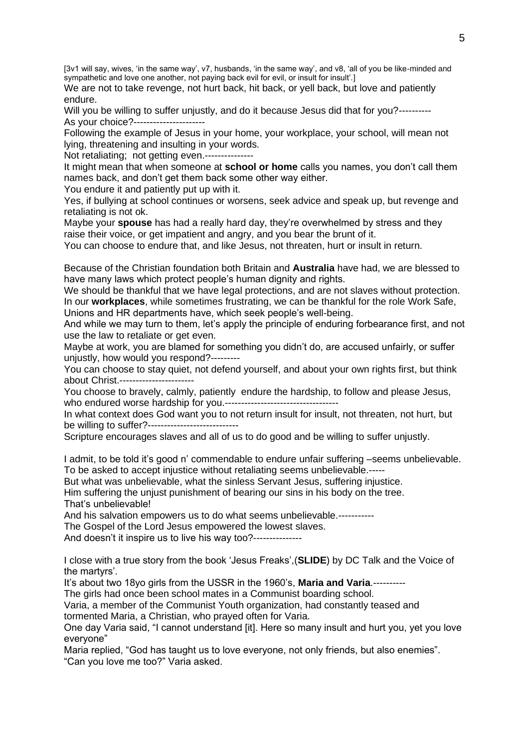[3v1 will say, wives, 'in the same way', v7, husbands, 'in the same way', and v8, 'all of you be like-minded and sympathetic and love one another, not paying back evil for evil, or insult for insult'.]

We are not to take revenge, not hurt back, hit back, or yell back, but love and patiently endure.

Will you be willing to suffer unjustly, and do it because Jesus did that for you?----------As your choice?-----------------------

Following the example of Jesus in your home, your workplace, your school, will mean not lying, threatening and insulting in your words.

Not retaliating; not getting even.---------------

It might mean that when someone at **school or home** calls you names, you don't call them names back, and don't get them back some other way either.

You endure it and patiently put up with it.

Yes, if bullying at school continues or worsens, seek advice and speak up, but revenge and retaliating is not ok.

Maybe your **spouse** has had a really hard day, they're overwhelmed by stress and they raise their voice, or get impatient and angry, and you bear the brunt of it.

You can choose to endure that, and like Jesus, not threaten, hurt or insult in return.

Because of the Christian foundation both Britain and **Australia** have had, we are blessed to have many laws which protect people's human dignity and rights.

We should be thankful that we have legal protections, and are not slaves without protection. In our **workplaces**, while sometimes frustrating, we can be thankful for the role Work Safe, Unions and HR departments have, which seek people's well-being.

And while we may turn to them, let's apply the principle of enduring forbearance first, and not use the law to retaliate or get even.

Maybe at work, you are blamed for something you didn't do, are accused unfairly, or suffer unjustly, how would you respond?---------

You can choose to stay quiet, not defend yourself, and about your own rights first, but think about Christ.-----------------------

You choose to bravely, calmly, patiently endure the hardship, to follow and please Jesus, who endured worse hardship for you.-----------------------------------

In what context does God want you to not return insult for insult, not threaten, not hurt, but be willing to suffer?----------------------------

Scripture encourages slaves and all of us to do good and be willing to suffer unjustly.

I admit, to be told it's good n' commendable to endure unfair suffering –seems unbelievable. To be asked to accept injustice without retaliating seems unbelievable.-----

But what was unbelievable, what the sinless Servant Jesus, suffering injustice.

Him suffering the unjust punishment of bearing our sins in his body on the tree. That's unbelievable!

And his salvation empowers us to do what seems unbelievable.-----------

The Gospel of the Lord Jesus empowered the lowest slaves.

And doesn't it inspire us to live his way too?---------------

I close with a true story from the book 'Jesus Freaks',(**SLIDE**) by DC Talk and the Voice of the martyrs'.

It's about two 18yo girls from the USSR in the 1960's, **Maria and Varia**.----------

The girls had once been school mates in a Communist boarding school.

Varia, a member of the Communist Youth organization, had constantly teased and tormented Maria, a Christian, who prayed often for Varia.

One day Varia said, "I cannot understand [it]. Here so many insult and hurt you, yet you love everyone"

Maria replied, "God has taught us to love everyone, not only friends, but also enemies". "Can you love me too?" Varia asked.